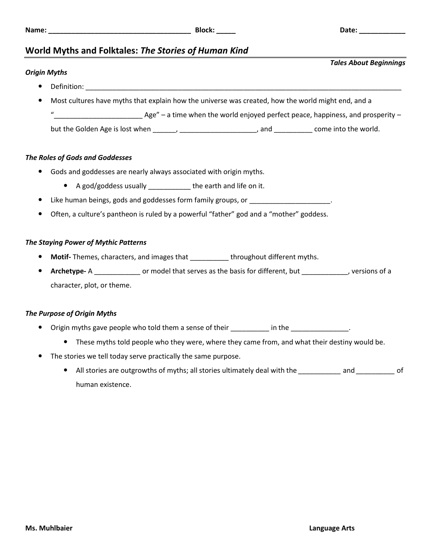*Tales About Beginnings*

# **World Myths and Folktales:** *The Stories of Human Kind*

# *Origin Myths*

- $\bullet$  Definition:
	- Most cultures have myths that explain how the universe was created, how the world might end, and a

Age" – a time when the world enjoyed perfect peace, happiness, and prosperity –

but the Golden Age is lost when \_\_\_\_\_\_, \_\_\_\_\_\_\_\_\_\_\_\_\_\_\_\_\_\_\_, and \_\_\_\_\_\_\_\_\_\_ come into the world.

## *The Roles of Gods and Goddesses*

- Gods and goddesses are nearly always associated with origin myths.
	- A god/goddess usually \_\_\_\_\_\_\_\_\_\_\_ the earth and life on it.
- Like human beings, gods and goddesses form family groups, or
- Often, a culture's pantheon is ruled by a powerful "father" god and a "mother" goddess.

## *The Staying Power of Mythic Patterns*

- **Motif-** Themes, characters, and images that \_\_\_\_\_\_\_\_\_\_ throughout different myths.
- **Archetype-** A \_\_\_\_\_\_\_\_\_\_\_\_ or model that serves as the basis for different, but \_\_\_\_\_\_\_\_\_\_\_\_, versions of a character, plot, or theme.

## *The Purpose of Origin Myths*

- Origin myths gave people who told them a sense of their \_\_\_\_\_\_\_\_\_ in the \_\_\_\_\_\_\_\_\_\_\_\_\_\_.
	- These myths told people who they were, where they came from, and what their destiny would be.
- The stories we tell today serve practically the same purpose.
	- All stories are outgrowths of myths; all stories ultimately deal with the *\_\_\_\_\_\_\_\_\_\_\_* and *\_\_\_\_\_\_\_\_\_\_* of human existence.